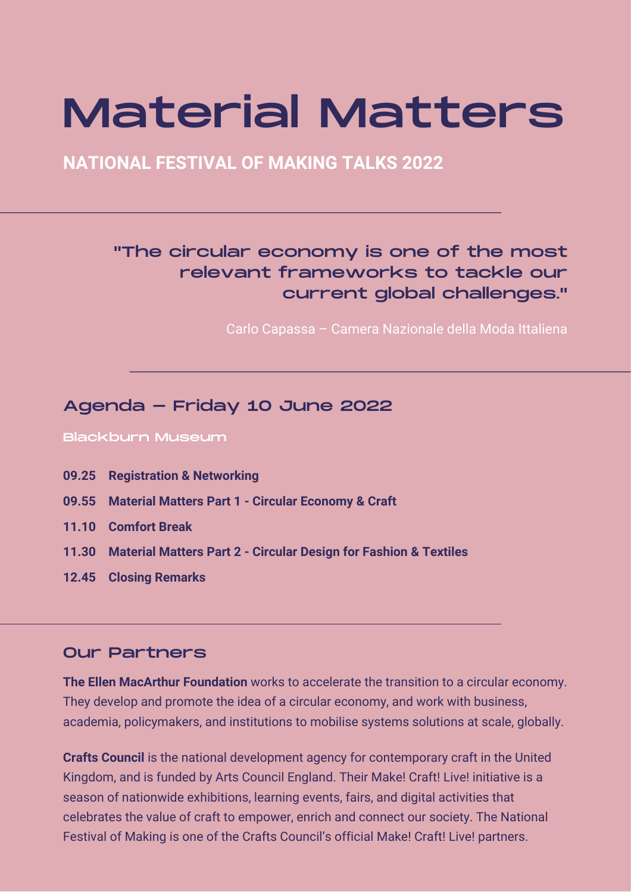# Material Matters

**NATIONAL FESTIVAL OF MAKING TALKS 2022**

# "The circular economy is one of the most relevant frameworks to tackle our current global challenges."

Carlo Capassa – Camera Nazionale della Moda Ittaliena

### Agenda - Friday 10 June 2022

Blackburn Museum

- **09.25 Registration & Networking**
- **09.55 Material Matters Part 1 Circular Economy & Craft**
- **11.10 Comfort Break**
- **11.30 Material Matters Part 2 Circular Design for Fashion & Textiles**
- **12.45 Closing Remarks**

#### Our Partners

**The Ellen MacArthur Foundation** works to accelerate the transition to a circular economy. They develop and promote the idea of a circular economy, and work with business, academia, policymakers, and institutions to mobilise systems solutions at scale, globally.

**Crafts Council** is the national development agency for contemporary craft in the United Kingdom, and is funded by Arts Council England. Their Make! Craft! Live! initiative is a season of nationwide exhibitions, learning events, fairs, and digital activities that celebrates the value of craft to empower, enrich and connect our society. The National Festival of Making is one of the Crafts Council's official Make! Craft! Live! partners.